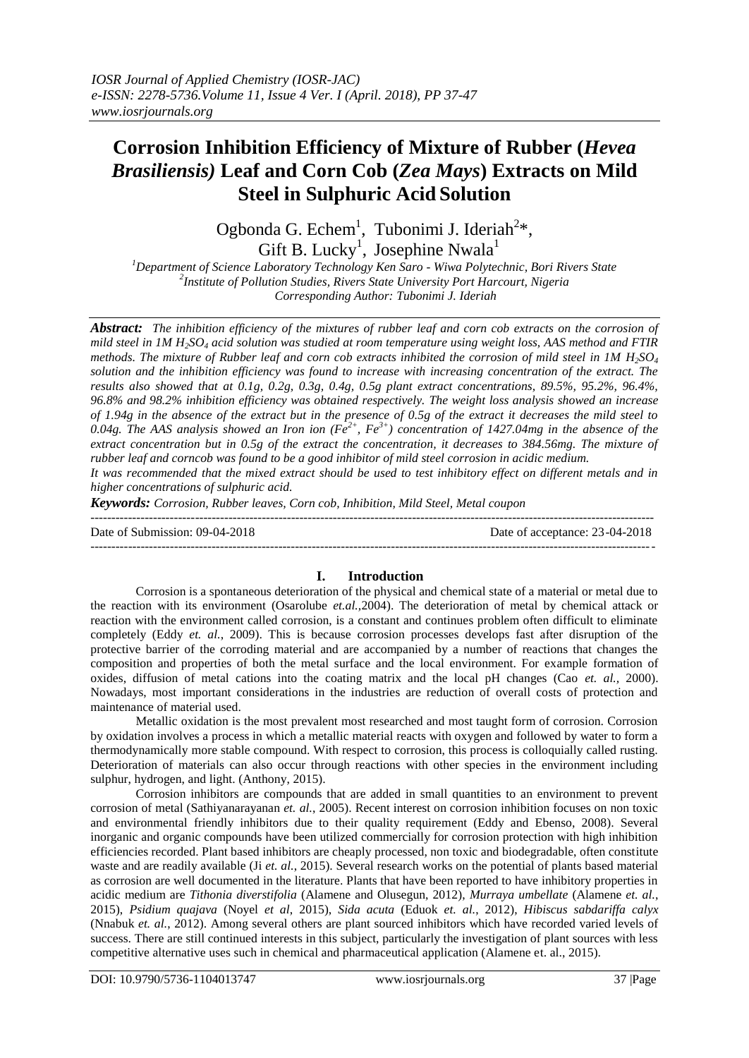# **Corrosion Inhibition Efficiency of Mixture of Rubber (***Hevea Brasiliensis)* **Leaf and Corn Cob (***Zea Mays***) Extracts on Mild Steel in Sulphuric Acid Solution**

Ogbonda G. Echem<sup>1</sup>, Tubonimi J. Ideriah<sup>2\*</sup>, Gift B. Lucky<sup>1</sup>, Josephine Nwala<sup>1</sup>

*<sup>1</sup>Department of Science Laboratory Technology Ken Saro - Wiwa Polytechnic, Bori Rivers State 2 Institute of Pollution Studies, Rivers State University Port Harcourt, Nigeria Corresponding Author: Tubonimi J. Ideriah*

*Abstract: The inhibition efficiency of the mixtures of rubber leaf and corn cob extracts on the corrosion of mild steel in 1M H2SO<sup>4</sup> acid solution was studied at room temperature using weight loss, AAS method and FTIR methods. The mixture of Rubber leaf and corn cob extracts inhibited the corrosion of mild steel in 1M H2SO<sup>4</sup> solution and the inhibition efficiency was found to increase with increasing concentration of the extract. The results also showed that at 0.1g, 0.2g, 0.3g, 0.4g, 0.5g plant extract concentrations, 89.5%, 95.2%, 96.4%, 96.8% and 98.2% inhibition efficiency was obtained respectively. The weight loss analysis showed an increase of 1.94g in the absence of the extract but in the presence of 0.5g of the extract it decreases the mild steel to 0.04g. The AAS analysis showed an Iron ion (Fe2+, Fe3+) concentration of 1427.04mg in the absence of the extract concentration but in 0.5g of the extract the concentration, it decreases to 384.56mg. The mixture of rubber leaf and corncob was found to be a good inhibitor of mild steel corrosion in acidic medium.* 

*It was recommended that the mixed extract should be used to test inhibitory effect on different metals and in higher concentrations of sulphuric acid.* 

*Keywords: Corrosion, Rubber leaves, Corn cob, Inhibition, Mild Steel, Metal coupon* 

--------------------------------------------------------------------------------------------------------------------------------------- Date of Submission: 09-04-2018 Date of acceptance: 23-04-2018 ---------------------------------------------------------------------------------------------------------------------------------------

## **I. Introduction**

Corrosion is a spontaneous deterioration of the physical and chemical state of a material or metal due to the reaction with its environment (Osarolube *et.al.,*2004). The deterioration of metal by chemical attack or reaction with the environment called corrosion, is a constant and continues problem often difficult to eliminate completely (Eddy *et. al.*, 2009). This is because corrosion processes develops fast after disruption of the protective barrier of the corroding material and are accompanied by a number of reactions that changes the composition and properties of both the metal surface and the local environment. For example formation of oxides, diffusion of metal cations into the coating matrix and the local pH changes (Cao *et. al.,* 2000). Nowadays, most important considerations in the industries are reduction of overall costs of protection and maintenance of material used.

Metallic oxidation is the most prevalent most researched and most taught form of corrosion. Corrosion by oxidation involves a process in which a metallic material reacts with oxygen and followed by water to form a thermodynamically more stable compound. With respect to corrosion, this process is colloquially called rusting. Deterioration of materials can also occur through reactions with other species in the environment including sulphur, hydrogen, and light. (Anthony, 2015).

Corrosion inhibitors are compounds that are added in small quantities to an environment to prevent corrosion of metal (Sathiyanarayanan *et. al.*, 2005). Recent interest on corrosion inhibition focuses on non toxic and environmental friendly inhibitors due to their quality requirement (Eddy and Ebenso, 2008). Several inorganic and organic compounds have been utilized commercially for corrosion protection with high inhibition efficiencies recorded. Plant based inhibitors are cheaply processed, non toxic and biodegradable, often constitute waste and are readily available (Ji *et. al.*, 2015). Several research works on the potential of plants based material as corrosion are well documented in the literature. Plants that have been reported to have inhibitory properties in acidic medium are *Tithonia diverstifolia* (Alamene and Olusegun, 2012), *Murraya umbellate* (Alamene *et. al.*, 2015), *Psidium quajava* (Noyel *et al*, 2015), *Sida acuta* (Eduok *et. al.*, 2012), *Hibiscus sabdariffa calyx* (Nnabuk *et. al.*, 2012). Among several others are plant sourced inhibitors which have recorded varied levels of success. There are still continued interests in this subject, particularly the investigation of plant sources with less competitive alternative uses such in chemical and pharmaceutical application (Alamene et. al., 2015).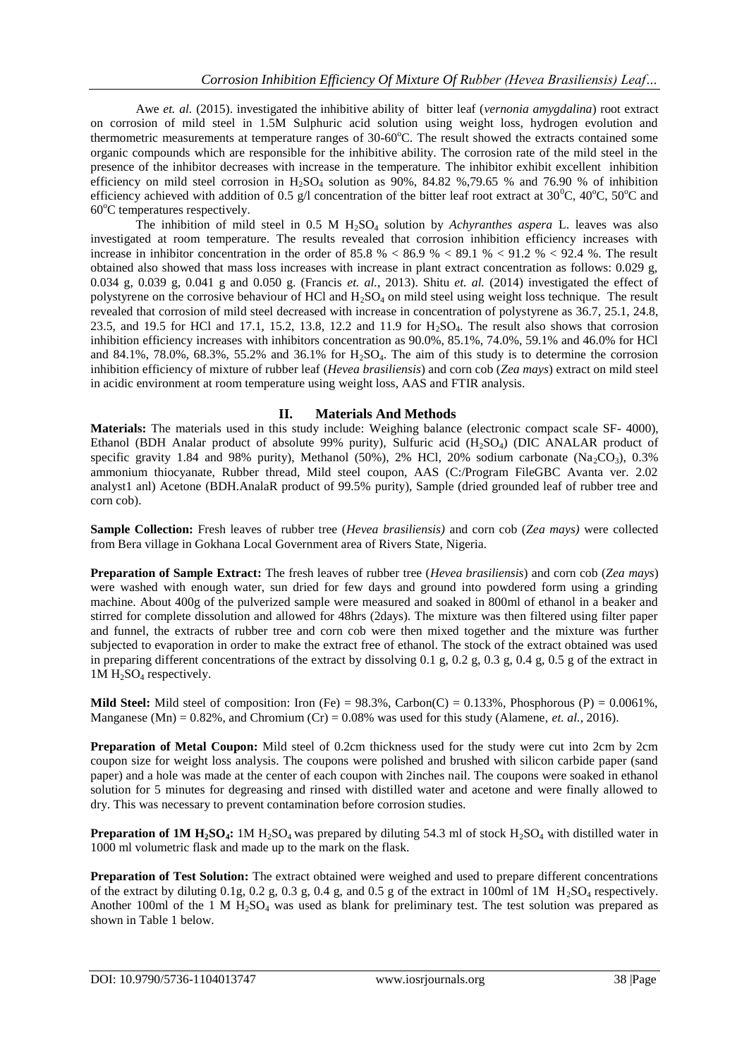Awe *et. al.* (2015). investigated the inhibitive ability of bitter leaf (*vernonia amygdalina*) root extract on corrosion of mild steel in 1.5M Sulphuric acid solution using weight loss, hydrogen evolution and thermometric measurements at temperature ranges of  $30{\text -}60^{\circ}$ C. The result showed the extracts contained some organic compounds which are responsible for the inhibitive ability. The corrosion rate of the mild steel in the presence of the inhibitor decreases with increase in the temperature. The inhibitor exhibit excellent inhibition efficiency on mild steel corrosion in  $H_2SO_4$  solution as 90%, 84.82 %,79.65 % and 76.90 % of inhibition efficiency achieved with addition of 0.5 g/l concentration of the bitter leaf root extract at  $30^{\circ}$ C,  $40^{\circ}$ C,  $50^{\circ}$ C and  $60^{\circ}$ C temperatures respectively.

The inhibition of mild steel in 0.5 M H2SO<sup>4</sup> solution by *Achyranthes aspera* L. leaves was also investigated at room temperature. The results revealed that corrosion inhibition efficiency increases with increase in inhibitor concentration in the order of  $85.8\% < 86.9\% < 89.1\% < 91.2\% < 92.4\%$ . The result obtained also showed that mass loss increases with increase in plant extract concentration as follows: 0.029 g, 0.034 g, 0.039 g, 0.041 g and 0.050 g. (Francis *et. al.*, 2013). Shitu *et. al.* (2014) investigated the effect of polystyrene on the corrosive behaviour of HCl and H2SO<sup>4</sup> on mild steel using weight loss technique. The result revealed that corrosion of mild steel decreased with increase in concentration of polystyrene as 36.7, 25.1, 24.8, 23.5, and 19.5 for HCl and 17.1, 15.2, 13.8, 12.2 and 11.9 for  $H_2SO_4$ . The result also shows that corrosion inhibition efficiency increases with inhibitors concentration as 90.0%, 85.1%, 74.0%, 59.1% and 46.0% for HCl and 84.1%, 78.0%, 68.3%, 55.2% and 36.1% for  $H_2SO_4$ . The aim of this study is to determine the corrosion inhibition efficiency of mixture of rubber leaf (*Hevea brasiliensis*) and corn cob (*Zea mays*) extract on mild steel in acidic environment at room temperature using weight loss, AAS and FTIR analysis.

## **II. Materials And Methods**

**Materials:** The materials used in this study include: Weighing balance (electronic compact scale SF- 4000), Ethanol (BDH Analar product of absolute 99% purity), Sulfuric acid (H<sub>2</sub>SO<sub>4</sub>) (DIC ANALAR product of specific gravity 1.84 and 98% purity), Methanol (50%), 2% HCl, 20% sodium carbonate (Na<sub>2</sub>CO<sub>3</sub>), 0.3% ammonium thiocyanate, Rubber thread, Mild steel coupon, AAS (C:/Program FileGBC Avanta ver. 2.02 analyst1 anl) Acetone (BDH.AnalaR product of 99.5% purity), Sample (dried grounded leaf of rubber tree and corn cob).

**Sample Collection:** Fresh leaves of rubber tree (*Hevea brasiliensis)* and corn cob (*Zea mays)* were collected from Bera village in Gokhana Local Government area of Rivers State, Nigeria.

**Preparation of Sample Extract:** The fresh leaves of rubber tree (*Hevea brasiliensis*) and corn cob (*Zea mays*) were washed with enough water, sun dried for few days and ground into powdered form using a grinding machine. About 400g of the pulverized sample were measured and soaked in 800ml of ethanol in a beaker and stirred for complete dissolution and allowed for 48hrs (2days). The mixture was then filtered using filter paper and funnel, the extracts of rubber tree and corn cob were then mixed together and the mixture was further subjected to evaporation in order to make the extract free of ethanol. The stock of the extract obtained was used in preparing different concentrations of the extract by dissolving  $0.1$  g,  $0.2$  g,  $0.3$  g,  $0.4$  g,  $0.5$  g of the extract in  $1M H<sub>2</sub>SO<sub>4</sub>$  respectively.

**Mild Steel:** Mild steel of composition: Iron (Fe) =  $98.3\%$ , Carbon(C) = 0.133%, Phosphorous (P) = 0.0061%, Manganese (Mn) =  $0.82\%$ , and Chromium (Cr) =  $0.08\%$  was used for this study (Alamene, *et. al.*, 2016).

**Preparation of Metal Coupon:** Mild steel of 0.2cm thickness used for the study were cut into 2cm by 2cm coupon size for weight loss analysis. The coupons were polished and brushed with silicon carbide paper (sand paper) and a hole was made at the center of each coupon with 2inches nail. The coupons were soaked in ethanol solution for 5 minutes for degreasing and rinsed with distilled water and acetone and were finally allowed to dry. This was necessary to prevent contamination before corrosion studies.

**Preparation of 1M**  $H_2SO_4$ **: 1M**  $H_2SO_4$  **was prepared by diluting 54.3 ml of stock**  $H_2SO_4$  **with distilled water in** 1000 ml volumetric flask and made up to the mark on the flask.

**Preparation of Test Solution:** The extract obtained were weighed and used to prepare different concentrations of the extract by diluting 0.1g, 0.2 g, 0.3 g, 0.4 g, and 0.5 g of the extract in 100ml of 1M  $H_2SO_4$  respectively. Another 100ml of the 1 M  $H_2SO_4$  was used as blank for preliminary test. The test solution was prepared as shown in Table 1 below.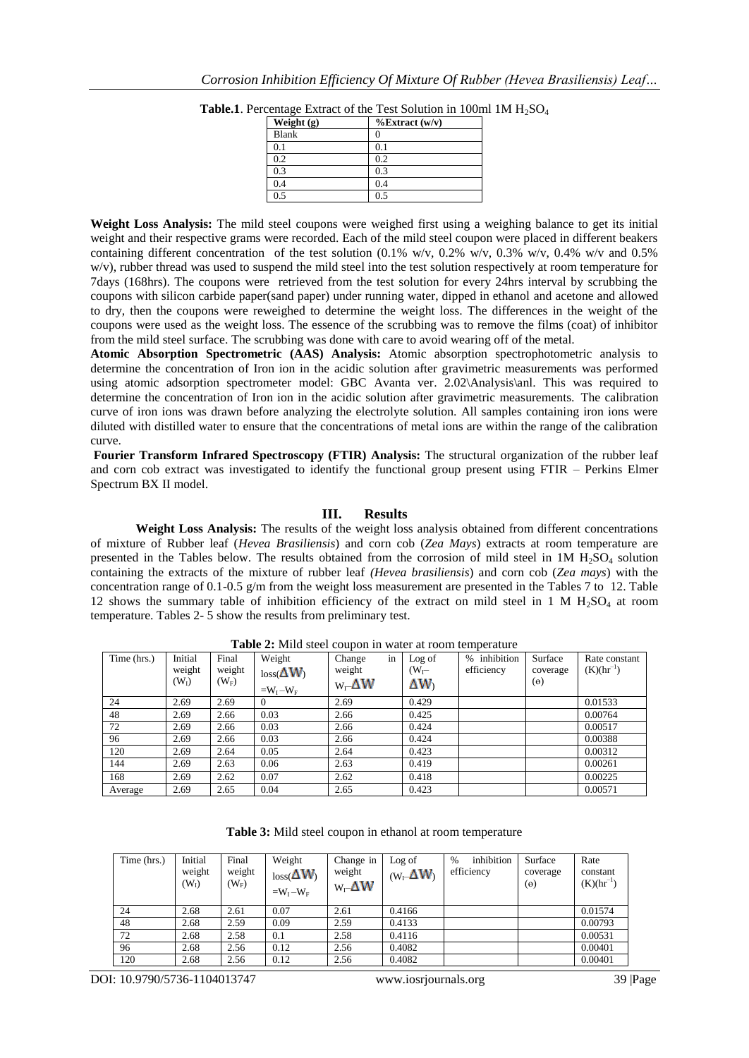| Weight (g) | $\%$ Extract (w/v) |
|------------|--------------------|
| Blank      |                    |
| 0.1        | 0.1                |
| 0.2        | 0.2                |
| 0.3        | 0.3                |
| 0.4        | 0.4                |
| 0.5        | 0.5                |

**Table.1**. Percentage Extract of the Test Solution in 100ml  $1M H_2SO_4$ 

**Weight Loss Analysis:** The mild steel coupons were weighed first using a weighing balance to get its initial weight and their respective grams were recorded. Each of the mild steel coupon were placed in different beakers containing different concentration of the test solution (0.1% w/v, 0.2% w/v, 0.3% w/v, 0.4% w/v and 0.5% w/v), rubber thread was used to suspend the mild steel into the test solution respectively at room temperature for 7days (168hrs). The coupons were retrieved from the test solution for every 24hrs interval by scrubbing the coupons with silicon carbide paper(sand paper) under running water, dipped in ethanol and acetone and allowed to dry, then the coupons were reweighed to determine the weight loss. The differences in the weight of the coupons were used as the weight loss. The essence of the scrubbing was to remove the films (coat) of inhibitor from the mild steel surface. The scrubbing was done with care to avoid wearing off of the metal.

**Atomic Absorption Spectrometric (AAS) Analysis:** Atomic absorption spectrophotometric analysis to determine the concentration of Iron ion in the acidic solution after gravimetric measurements was performed using atomic adsorption spectrometer model: GBC Avanta ver. 2.02\Analysis\anl. This was required to determine the concentration of Iron ion in the acidic solution after gravimetric measurements. The calibration curve of iron ions was drawn before analyzing the electrolyte solution. All samples containing iron ions were diluted with distilled water to ensure that the concentrations of metal ions are within the range of the calibration curve.

**Fourier Transform Infrared Spectroscopy (FTIR) Analysis:** The structural organization of the rubber leaf and corn cob extract was investigated to identify the functional group present using FTIR – Perkins Elmer Spectrum BX II model.

## **III. Results**

**Weight Loss Analysis:** The results of the weight loss analysis obtained from different concentrations of mixture of Rubber leaf (*Hevea Brasiliensis*) and corn cob (*Zea Mays*) extracts at room temperature are presented in the Tables below. The results obtained from the corrosion of mild steel in  $1M H<sub>2</sub>SO<sub>4</sub>$  solution containing the extracts of the mixture of rubber leaf *(Hevea brasiliensis*) and corn cob (*Zea mays*) with the concentration range of 0.1-0.5 g/m from the weight loss measurement are presented in the Tables 7 to 12. Table 12 shows the summary table of inhibition efficiency of the extract on mild steel in 1 M  $H_2SO_4$  at room temperature. Tables 2- 5 show the results from preliminary test.

| Time (hrs.) | Initial<br>weight | Final<br>weight | Weight<br>$loss(\Delta W)$ | in<br>Change<br>weight | Log of<br>$(W_{\Gamma}$ | inhibition<br>$\%$<br>efficiency | Surface<br>coverage | Rate constant<br>$(K)(hr^{-1})$ |
|-------------|-------------------|-----------------|----------------------------|------------------------|-------------------------|----------------------------------|---------------------|---------------------------------|
|             | (W <sub>1</sub> ) | $(W_F)$         | $=W_I-W_F$                 | $W_1$ $\Delta W$       | ΔW)                     |                                  | $(\theta)$          |                                 |
| 24          | 2.69              | 2.69            | 0                          | 2.69                   | 0.429                   |                                  |                     | 0.01533                         |
| 48          | 2.69              | 2.66            | 0.03                       | 2.66                   | 0.425                   |                                  |                     | 0.00764                         |
| 72          | 2.69              | 2.66            | 0.03                       | 2.66                   | 0.424                   |                                  |                     | 0.00517                         |
| 96          | 2.69              | 2.66            | 0.03                       | 2.66                   | 0.424                   |                                  |                     | 0.00388                         |
| 120         | 2.69              | 2.64            | 0.05                       | 2.64                   | 0.423                   |                                  |                     | 0.00312                         |
| 144         | 2.69              | 2.63            | 0.06                       | 2.63                   | 0.419                   |                                  |                     | 0.00261                         |
| 168         | 2.69              | 2.62            | 0.07                       | 2.62                   | 0.418                   |                                  |                     | 0.00225                         |
| Average     | 2.69              | 2.65            | 0.04                       | 2.65                   | 0.423                   |                                  |                     | 0.00571                         |

**Table 2:** Mild steel coupon in water at room temperature

**Table 3:** Mild steel coupon in ethanol at room temperature

| Time (hrs.) | Initial<br>weight<br>(W <sub>I</sub> ) | Final<br>weight<br>$(W_F)$ | Weight<br>$loss(\Delta W)$<br>$=W_I-W_F$ | Change in<br>weight<br>$W_{\Gamma}\Delta W$ | Log of<br>$(W_1 \Delta W)$ | inhibition<br>$\frac{0}{0}$<br>efficiency | Surface<br>coverage<br>$(\theta)$ | Rate<br>constant<br>$(K)(hr^{-1})$ |
|-------------|----------------------------------------|----------------------------|------------------------------------------|---------------------------------------------|----------------------------|-------------------------------------------|-----------------------------------|------------------------------------|
| 24          | 2.68                                   | 2.61                       | 0.07                                     | 2.61                                        | 0.4166                     |                                           |                                   | 0.01574                            |
| 48          | 2.68                                   | 2.59                       | 0.09                                     | 2.59                                        | 0.4133                     |                                           |                                   | 0.00793                            |
| 72          | 2.68                                   | 2.58                       | 0.1                                      | 2.58                                        | 0.4116                     |                                           |                                   | 0.00531                            |
| 96          | 2.68                                   | 2.56                       | 0.12                                     | 2.56                                        | 0.4082                     |                                           |                                   | 0.00401                            |
| 120         | 2.68                                   | 2.56                       | 0.12                                     | 2.56                                        | 0.4082                     |                                           |                                   | 0.00401                            |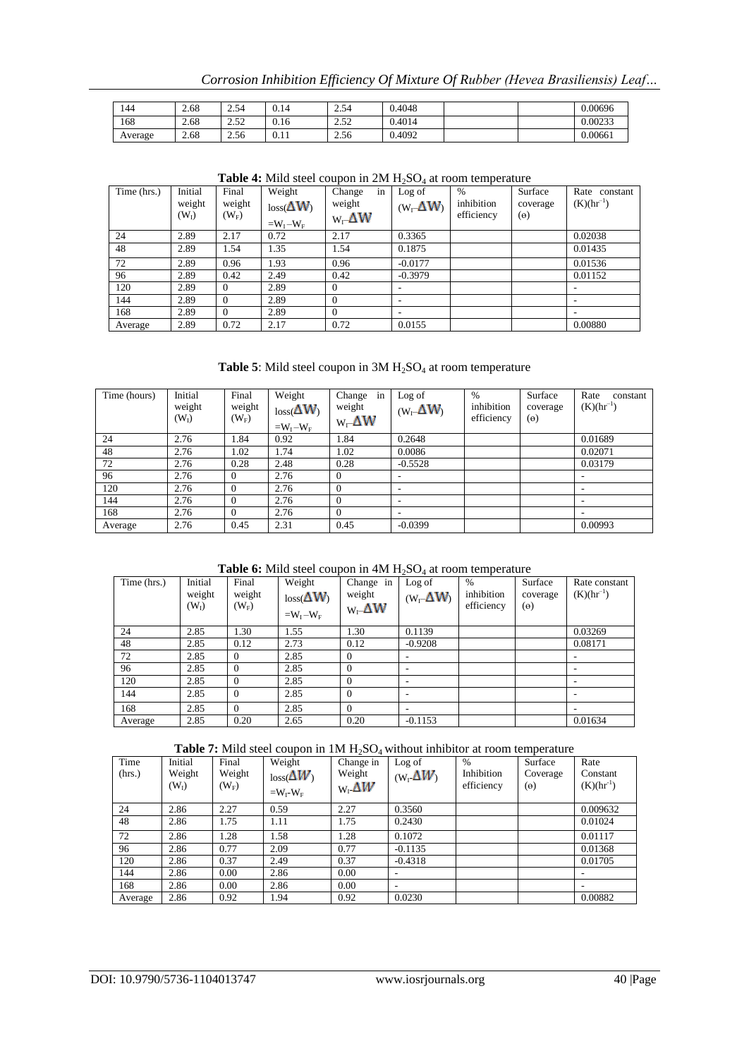*Corrosion Inhibition Efficiency Of Mixture Of Rubber (Hevea Brasiliensis) Leaf…*

| 144     | 2.68 | 5/<br>∠.J⊤        | 0.14 | 7 54<br>$\sim$ $\sim$ $\sim$ $\sim$ | 0.4048 |  | 0.00696 |
|---------|------|-------------------|------|-------------------------------------|--------|--|---------|
| 168     | 2.68 | $\epsilon$<br>ے ب | 0.16 | $\sim$<br>ے ب                       | 0.4014 |  | 0.00233 |
| Average | 2.68 | 2.56              | 0.11 | 2.56                                | 0.4092 |  | 0.00661 |

| Time (hrs.) | Initial<br>weight<br>$(W_I)$ | Final<br>weight<br>$(W_F)$ | Weight<br>$loss(\Delta W)$<br>$=W_I-W_F$ | in<br>Change<br>weight<br>$W_{\Gamma}\Delta W$ | Log of<br>$(W_1 \Delta W)$ | $\%$<br>inhibition<br>efficiency | Surface<br>coverage<br>$(\theta)$ | Rate constant<br>$(K)(hr^{-1})$ |
|-------------|------------------------------|----------------------------|------------------------------------------|------------------------------------------------|----------------------------|----------------------------------|-----------------------------------|---------------------------------|
| 24          | 2.89                         | 2.17                       | 0.72                                     | 2.17                                           | 0.3365                     |                                  |                                   | 0.02038                         |
| 48          | 2.89                         | 1.54                       | 1.35                                     | 1.54                                           | 0.1875                     |                                  |                                   | 0.01435                         |
| 72          | 2.89                         | 0.96                       | 1.93                                     | 0.96                                           | $-0.0177$                  |                                  |                                   | 0.01536                         |
| 96          | 2.89                         | 0.42                       | 2.49                                     | 0.42                                           | $-0.3979$                  |                                  |                                   | 0.01152                         |
| 120         | 2.89                         | $\theta$                   | 2.89                                     | $\Omega$                                       |                            |                                  |                                   | $\overline{\phantom{a}}$        |
| 144         | 2.89                         | $\Omega$                   | 2.89                                     | $\Omega$                                       |                            |                                  |                                   | $\overline{\phantom{a}}$        |
| 168         | 2.89                         | $\Omega$                   | 2.89                                     | $\Omega$                                       |                            |                                  |                                   |                                 |
| Average     | 2.89                         | 0.72                       | 2.17                                     | 0.72                                           | 0.0155                     |                                  |                                   | 0.00880                         |

#### Table 4: Mild steel coupon in 2M H<sub>2</sub>SO<sub>4</sub> at room temperature

## Table 5: Mild steel coupon in 3M  $H_2SO_4$  at room temperature

| Time (hours) | Initial<br>weight<br>$(W_I)$ | Final<br>weight<br>$(W_F)$ | Weight<br>$loss(\Delta W)$<br>$=W_I-W_F$ | in<br>Change<br>weight<br>$W_1$ $\Delta W$ | Log of<br>$(W_\blacksquare \Delta W)$ | $\%$<br>inhibition<br>efficiency | Surface<br>coverage<br>$(\theta)$ | Rate<br>constant<br>$(K)(hr^{-1})$ |
|--------------|------------------------------|----------------------------|------------------------------------------|--------------------------------------------|---------------------------------------|----------------------------------|-----------------------------------|------------------------------------|
| 24           | 2.76                         | 1.84                       | 0.92                                     | 1.84                                       | 0.2648                                |                                  |                                   | 0.01689                            |
| 48           | 2.76                         | 1.02                       | 1.74                                     | 1.02                                       | 0.0086                                |                                  |                                   | 0.02071                            |
| 72           | 2.76                         | 0.28                       | 2.48                                     | 0.28                                       | $-0.5528$                             |                                  |                                   | 0.03179                            |
| 96           | 2.76                         | $\Omega$                   | 2.76                                     | $\theta$                                   | $\overline{\phantom{a}}$              |                                  |                                   | ۰                                  |
| 120          | 2.76                         | $\Omega$                   | 2.76                                     | $\Omega$                                   | $\overline{\phantom{a}}$              |                                  |                                   | ۰                                  |
| 144          | 2.76                         | $\theta$                   | 2.76                                     | $\overline{0}$                             | $\overline{\phantom{a}}$              |                                  |                                   | ۰                                  |
| 168          | 2.76                         | $\Omega$                   | 2.76                                     | $\Omega$                                   | $\overline{\phantom{a}}$              |                                  |                                   | $\overline{\phantom{a}}$           |
| Average      | 2.76                         | 0.45                       | 2.31                                     | 0.45                                       | $-0.0399$                             |                                  |                                   | 0.00993                            |

#### **Table 6:** Mild steel coupon in 4M H<sub>2</sub>SO<sub>4</sub> at room temperature

| Time (hrs.) | Initial<br>weight<br>$(W_I)$ | Final<br>weight<br>$(W_F)$ | Weight<br>$loss(\Delta W)$<br>$=W_I-W_F$ | Change in<br>weight<br>$W - \Delta W$ | Log of<br>$(W_1 \Delta W)$ | $\%$<br>inhibition<br>efficiency | Surface<br>coverage<br>$(\theta)$ | Rate constant<br>$(K)(hr^{-1})$ |
|-------------|------------------------------|----------------------------|------------------------------------------|---------------------------------------|----------------------------|----------------------------------|-----------------------------------|---------------------------------|
| 24          | 2.85                         | 1.30                       | 1.55                                     | 1.30                                  | 0.1139                     |                                  |                                   | 0.03269                         |
| 48          | 2.85                         | 0.12                       | 2.73                                     | 0.12                                  | $-0.9208$                  |                                  |                                   | 0.08171                         |
| 72          | 2.85                         | $\Omega$                   | 2.85                                     | $\Omega$                              | ۰                          |                                  |                                   | ٠                               |
| 96          | 2.85                         | $\Omega$                   | 2.85                                     | $\Omega$                              | $\overline{\phantom{a}}$   |                                  |                                   |                                 |
| 120         | 2.85                         | $\Omega$                   | 2.85                                     | $\Omega$                              | ۰                          |                                  |                                   | ٠                               |
| 144         | 2.85                         | $\theta$                   | 2.85                                     | $\Omega$                              | ۰                          |                                  |                                   |                                 |
| 168         | 2.85                         | $\theta$                   | 2.85                                     | $\Omega$                              | ۰                          |                                  |                                   |                                 |
| Average     | 2.85                         | 0.20                       | 2.65                                     | 0.20                                  | $-0.1153$                  |                                  |                                   | 0.01634                         |

**Table 7:** Mild steel coupon in 1M H<sub>2</sub>SO<sub>4</sub> without inhibitor at room temperature

| Time<br>(hrs.) | Initial<br>Weight<br>$(W_I)$ | Final<br>Weight<br>$(W_F)$ | Weight<br>$\log_{10}( \Delta W)$<br>$=W_I-W_F$ | Change in<br>Weight<br>$W_1 \Delta W$ | Log of<br>$(W_1 \Delta W)$ | $\%$<br>Inhibition<br>efficiency | Surface<br>Coverage<br>$(\theta)$ | Rate<br>Constant<br>$(K)(hr^{-1})$ |
|----------------|------------------------------|----------------------------|------------------------------------------------|---------------------------------------|----------------------------|----------------------------------|-----------------------------------|------------------------------------|
| 24             | 2.86                         | 2.27                       | 0.59                                           | 2.27                                  | 0.3560                     |                                  |                                   | 0.009632                           |
| 48             | 2.86                         | 1.75                       | 1.11                                           | 1.75                                  | 0.2430                     |                                  |                                   | 0.01024                            |
| 72             | 2.86                         | 1.28                       | 1.58                                           | 1.28                                  | 0.1072                     |                                  |                                   | 0.01117                            |
| 96             | 2.86                         | 0.77                       | 2.09                                           | 0.77                                  | $-0.1135$                  |                                  |                                   | 0.01368                            |
| 120            | 2.86                         | 0.37                       | 2.49                                           | 0.37                                  | $-0.4318$                  |                                  |                                   | 0.01705                            |
| 144            | 2.86                         | 0.00                       | 2.86                                           | 0.00                                  | ۰                          |                                  |                                   | ۰                                  |
| 168            | 2.86                         | 0.00                       | 2.86                                           | 0.00                                  | ۰                          |                                  |                                   |                                    |
| Average        | 2.86                         | 0.92                       | 1.94                                           | 0.92                                  | 0.0230                     |                                  |                                   | 0.00882                            |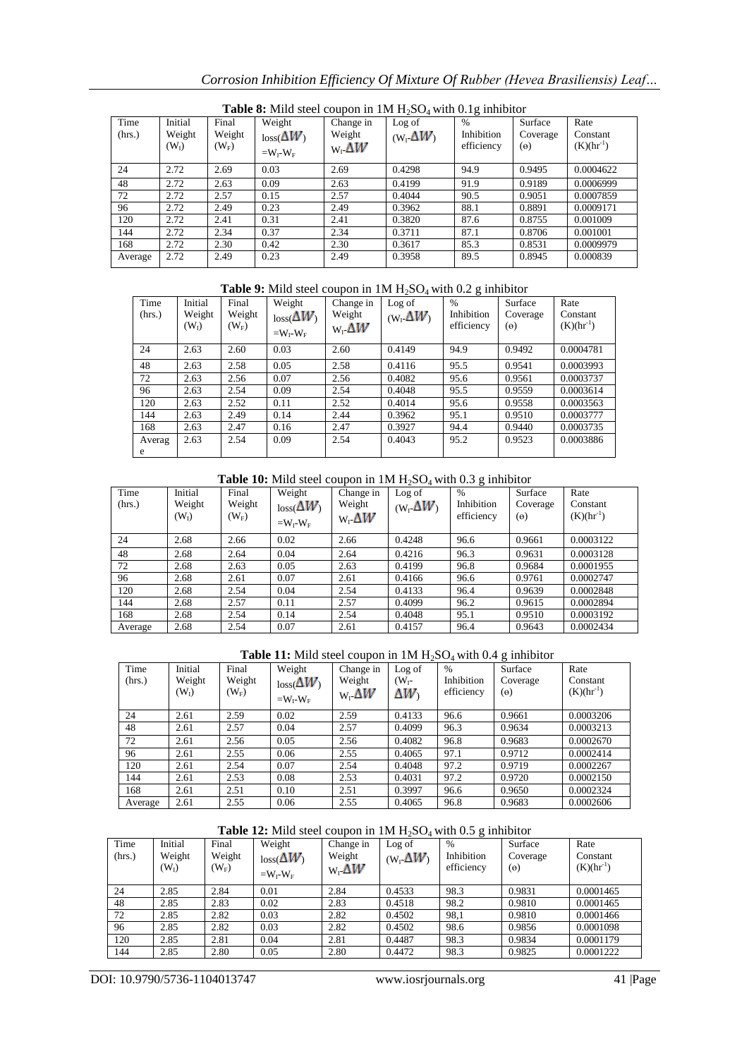| Time<br>(hrs.) | Initial<br>Weight<br>$(W_I)$ | Final<br>Weight<br>$(W_F)$ | <b>Lable 0.</b> IVING SICCT COUPON IN THE LEGS OF WHIT 0.1 <b>g</b> HIMBHOT<br>Weight<br>$loss(\Delta W)$<br>$=W_I-W_F$ | Change in<br>Weight<br>$W_1 \Delta W$ | Log of<br>$(W_1 \Delta W)$ | $\%$<br>Inhibition<br>efficiency | Surface<br>Coverage<br>$(\theta)$ | Rate<br>Constant<br>$(K)(hr^{-1})$ |
|----------------|------------------------------|----------------------------|-------------------------------------------------------------------------------------------------------------------------|---------------------------------------|----------------------------|----------------------------------|-----------------------------------|------------------------------------|
| 24             | 2.72                         | 2.69                       | 0.03                                                                                                                    | 2.69                                  | 0.4298                     | 94.9                             | 0.9495                            | 0.0004622                          |
| 48             | 2.72                         | 2.63                       | 0.09                                                                                                                    | 2.63                                  | 0.4199                     | 91.9                             | 0.9189                            | 0.0006999                          |
| 72             | 2.72                         | 2.57                       | 0.15                                                                                                                    | 2.57                                  | 0.4044                     | 90.5                             | 0.9051                            | 0.0007859                          |
| 96             | 2.72                         | 2.49                       | 0.23                                                                                                                    | 2.49                                  | 0.3962                     | 88.1                             | 0.8891                            | 0.0009171                          |
| 120            | 2.72                         | 2.41                       | 0.31                                                                                                                    | 2.41                                  | 0.3820                     | 87.6                             | 0.8755                            | 0.001009                           |
| 144            | 2.72                         | 2.34                       | 0.37                                                                                                                    | 2.34                                  | 0.3711                     | 87.1                             | 0.8706                            | 0.001001                           |
| 168            | 2.72                         | 2.30                       | 0.42                                                                                                                    | 2.30                                  | 0.3617                     | 85.3                             | 0.8531                            | 0.0009979                          |
| Average        | 2.72                         | 2.49                       | 0.23                                                                                                                    | 2.49                                  | 0.3958                     | 89.5                             | 0.8945                            | 0.000839                           |

Table 8: Mild steel coupon in 1M H<sub>2</sub>SO<sub>4</sub> with 0.1g inhibitor

## **Table 9:** Mild steel coupon in 1M H<sub>2</sub>SO<sub>4</sub> with 0.2 g inhibitor

| Time<br>(hrs.) | Initial<br>Weight<br>W <sub>1</sub> | Final<br>Weight<br>$(W_F)$ | Weight<br>$loss(\Delta W)$<br>$=W_I-W_F$ | Change in<br>Weight<br>$W_1 \Delta W$ | Log of<br>$(W_1 \Delta W)$ | $\frac{0}{0}$<br>Inhibition<br>efficiency | Surface<br>Coverage<br>$(\Theta)$ | Rate<br>Constant<br>$(K)(hr^{-1})$ |
|----------------|-------------------------------------|----------------------------|------------------------------------------|---------------------------------------|----------------------------|-------------------------------------------|-----------------------------------|------------------------------------|
| 24             | 2.63                                | 2.60                       | 0.03                                     | 2.60                                  | 0.4149                     | 94.9                                      | 0.9492                            | 0.0004781                          |
| 48             | 2.63                                | 2.58                       | 0.05                                     | 2.58                                  | 0.4116                     | 95.5                                      | 0.9541                            | 0.0003993                          |
| 72             | 2.63                                | 2.56                       | 0.07                                     | 2.56                                  | 0.4082                     | 95.6                                      | 0.9561                            | 0.0003737                          |
| 96             | 2.63                                | 2.54                       | 0.09                                     | 2.54                                  | 0.4048                     | 95.5                                      | 0.9559                            | 0.0003614                          |
| 120            | 2.63                                | 2.52                       | 0.11                                     | 2.52                                  | 0.4014                     | 95.6                                      | 0.9558                            | 0.0003563                          |
| 144            | 2.63                                | 2.49                       | 0.14                                     | 2.44                                  | 0.3962                     | 95.1                                      | 0.9510                            | 0.0003777                          |
| 168            | 2.63                                | 2.47                       | 0.16                                     | 2.47                                  | 0.3927                     | 94.4                                      | 0.9440                            | 0.0003735                          |
| Averag<br>e    | 2.63                                | 2.54                       | 0.09                                     | 2.54                                  | 0.4043                     | 95.2                                      | 0.9523                            | 0.0003886                          |

## Table 10: Mild steel coupon in 1M H<sub>2</sub>SO<sub>4</sub> with 0.3 g inhibitor

| Time<br>(hrs.) | Initial<br>Weight<br>(W <sub>1</sub> ) | Final<br>Weight<br>$(W_F)$ | Weight<br>$loss(\Delta W)$<br>$=W_I-W_F$ | Change in<br>Weight<br>$W_{\rm r} \Delta W$ | Log of<br>$(W_1 \Delta W)$ | $\%$<br>Inhibition<br>efficiency | Surface<br>Coverage<br>$(\theta)$ | Rate<br>Constant<br>$(K)(hr^{-1})$ |
|----------------|----------------------------------------|----------------------------|------------------------------------------|---------------------------------------------|----------------------------|----------------------------------|-----------------------------------|------------------------------------|
| 24             | 2.68                                   | 2.66                       | 0.02                                     | 2.66                                        | 0.4248                     | 96.6                             | 0.9661                            | 0.0003122                          |
| 48             | 2.68                                   | 2.64                       | 0.04                                     | 2.64                                        | 0.4216                     | 96.3                             | 0.9631                            | 0.0003128                          |
| 72             | 2.68                                   | 2.63                       | 0.05                                     | 2.63                                        | 0.4199                     | 96.8                             | 0.9684                            | 0.0001955                          |
| 96             | 2.68                                   | 2.61                       | 0.07                                     | 2.61                                        | 0.4166                     | 96.6                             | 0.9761                            | 0.0002747                          |
| 120            | 2.68                                   | 2.54                       | 0.04                                     | 2.54                                        | 0.4133                     | 96.4                             | 0.9639                            | 0.0002848                          |
| 144            | 2.68                                   | 2.57                       | 0.11                                     | 2.57                                        | 0.4099                     | 96.2                             | 0.9615                            | 0.0002894                          |
| 168            | 2.68                                   | 2.54                       | 0.14                                     | 2.54                                        | 0.4048                     | 95.1                             | 0.9510                            | 0.0003192                          |
| Average        | 2.68                                   | 2.54                       | 0.07                                     | 2.61                                        | 0.4157                     | 96.4                             | 0.9643                            | 0.0002434                          |

#### Table 11: Mild steel coupon in 1M H<sub>2</sub>SO<sub>4</sub> with 0.4 g inhibitor

| Time<br>(hrs.) | Initial<br>Weight<br>(W <sub>I</sub> ) | Final<br>Weight<br>$(W_F)$ | Weight<br>$loss(\Delta W)$<br>$=W_I-W_F$ | Change in<br>Weight<br>$W_1 \Delta W$ | Log of<br>$(W_{I^-})$<br>ΔW) | $\%$<br>Inhibition<br>efficiency | Surface<br>Coverage<br>$(\theta)$ | Rate<br>Constant<br>$(K)(hr^{-1})$ |
|----------------|----------------------------------------|----------------------------|------------------------------------------|---------------------------------------|------------------------------|----------------------------------|-----------------------------------|------------------------------------|
| 24             | 2.61                                   | 2.59                       | 0.02                                     | 2.59                                  | 0.4133                       | 96.6                             | 0.9661                            | 0.0003206                          |
| 48             | 2.61                                   | 2.57                       | 0.04                                     | 2.57                                  | 0.4099                       | 96.3                             | 0.9634                            | 0.0003213                          |
| 72             | 2.61                                   | 2.56                       | 0.05                                     | 2.56                                  | 0.4082                       | 96.8                             | 0.9683                            | 0.0002670                          |
| 96             | 2.61                                   | 2.55                       | 0.06                                     | 2.55                                  | 0.4065                       | 97.1                             | 0.9712                            | 0.0002414                          |
| 120            | 2.61                                   | 2.54                       | 0.07                                     | 2.54                                  | 0.4048                       | 97.2                             | 0.9719                            | 0.0002267                          |
| 144            | 2.61                                   | 2.53                       | 0.08                                     | 2.53                                  | 0.4031                       | 97.2                             | 0.9720                            | 0.0002150                          |
| 168            | 2.61                                   | 2.51                       | 0.10                                     | 2.51                                  | 0.3997                       | 96.6                             | 0.9650                            | 0.0002324                          |
| Average        | 2.61                                   | 2.55                       | 0.06                                     | 2.55                                  | 0.4065                       | 96.8                             | 0.9683                            | 0.0002606                          |

## **Table 12:** Mild steel coupon in 1M H<sub>2</sub>SO<sub>4</sub> with 0.5 g inhibitor

| Time   | Initial           | Final   | Weight           | Change in    | Log of           | $\%$       | Surface    | Rate           |
|--------|-------------------|---------|------------------|--------------|------------------|------------|------------|----------------|
| (hrs.) | Weight            | Weight  | $loss(\Delta W)$ | Weight       | $(W_1 \Delta W)$ | Inhibition | Coverage   | Constant       |
|        | (W <sub>1</sub> ) | $(W_F)$ |                  | $W \Delta W$ |                  | efficiency | $(\Theta)$ | $(K)(hr^{-1})$ |
|        |                   |         | $=W_I-W_F$       |              |                  |            |            |                |
| 24     | 2.85              | 2.84    | 0.01             | 2.84         | 0.4533           | 98.3       | 0.9831     | 0.0001465      |
| 48     | 2.85              | 2.83    | 0.02             | 2.83         | 0.4518           | 98.2       | 0.9810     | 0.0001465      |
| 72     | 2.85              | 2.82    | 0.03             | 2.82         | 0.4502           | 98,1       | 0.9810     | 0.0001466      |
| 96     | 2.85              | 2.82    | 0.03             | 2.82         | 0.4502           | 98.6       | 0.9856     | 0.0001098      |
| 120    | 2.85              | 2.81    | 0.04             | 2.81         | 0.4487           | 98.3       | 0.9834     | 0.0001179      |
| 144    | 2.85              | 2.80    | 0.05             | 2.80         | 0.4472           | 98.3       | 0.9825     | 0.0001222      |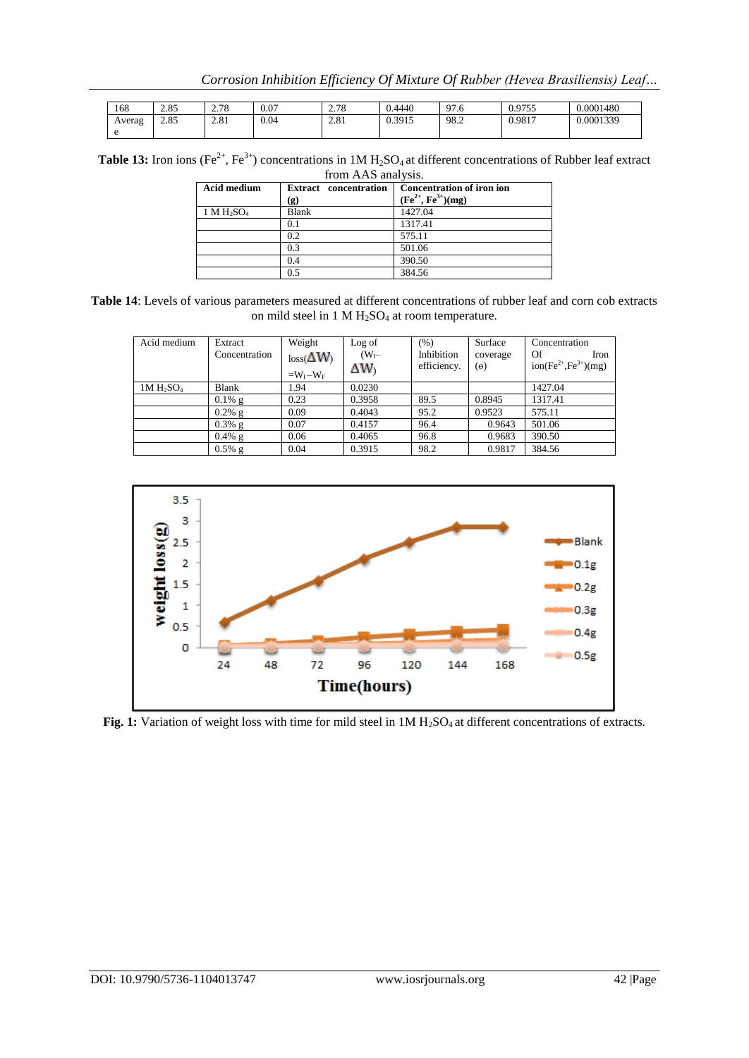| 168    | 205<br>2.83         | 70<br>∽<br>2.10 | 0.07 | 270<br>2.10          | 0.4440 | 97<br>27.U | 0755ء<br>ر ر ر<br>$\mathbf{v} \cdot \mathbf{v}$ | 0.0001480 |
|--------|---------------------|-----------------|------|----------------------|--------|------------|-------------------------------------------------|-----------|
| Averag | $\Omega$ or<br>2.83 | 2.81            | 0.04 | $\Omega$ 0.1<br>2.01 | 0.3915 | 98.2       | 0.9817                                          | J.0001339 |
|        |                     |                 |      |                      |        |            |                                                 |           |

**Table 13:** Iron ions (Fe<sup>2+</sup>, Fe<sup>3+</sup>) concentrations in 1M  $H_2SO_4$  at different concentrations of Rubber leaf extract from AAS analysis.

| <b>Acid medium</b>                 | <b>Extract</b> concentration<br>(g) | <b>Concentration of iron ion</b><br>$(Fe^{2+}, Fe^{3+})(mg)$ |
|------------------------------------|-------------------------------------|--------------------------------------------------------------|
| 1 M H <sub>2</sub> SO <sub>4</sub> | <b>Blank</b>                        | 1427.04                                                      |
|                                    | 0.1                                 | 1317.41                                                      |
|                                    | 0.2                                 | 575.11                                                       |
|                                    | 0.3                                 | 501.06                                                       |
|                                    | 0.4                                 | 390.50                                                       |
|                                    | 0.5                                 | 384.56                                                       |

**Table 14**: Levels of various parameters measured at different concentrations of rubber leaf and corn cob extracts on mild steel in 1 M  $H_2SO_4$  at room temperature.

| Acid medium                       | Extract<br>Concentration | Weight<br>$loss(\Delta W)$<br>$=W_I-W_F$ | Log of<br>$(W_{I}$<br>ΔW) | (% )<br>Inhibition<br>efficiency. | Surface<br>coverage<br>$(\theta)$ | Concentration<br>Of<br>Iron<br>$ion(Fe^{2+}, Fe^{3+})(mg)$ |
|-----------------------------------|--------------------------|------------------------------------------|---------------------------|-----------------------------------|-----------------------------------|------------------------------------------------------------|
| 1M H <sub>2</sub> SO <sub>4</sub> | Blank                    | 1.94                                     | 0.0230                    |                                   |                                   | 1427.04                                                    |
|                                   | $0.1\%$ g                | 0.23                                     | 0.3958                    | 89.5                              | 0.8945                            | 1317.41                                                    |
|                                   | $0.2\%$ g                | 0.09                                     | 0.4043                    | 95.2                              | 0.9523                            | 575.11                                                     |
|                                   | $0.3\%$ g                | 0.07                                     | 0.4157                    | 96.4                              | 0.9643                            | 501.06                                                     |
|                                   | $0.4\%$ g                | 0.06                                     | 0.4065                    | 96.8                              | 0.9683                            | 390.50                                                     |
|                                   | $0.5\%$ g                | 0.04                                     | 0.3915                    | 98.2                              | 0.9817                            | 384.56                                                     |



Fig. 1: Variation of weight loss with time for mild steel in 1M H<sub>2</sub>SO<sub>4</sub> at different concentrations of extracts.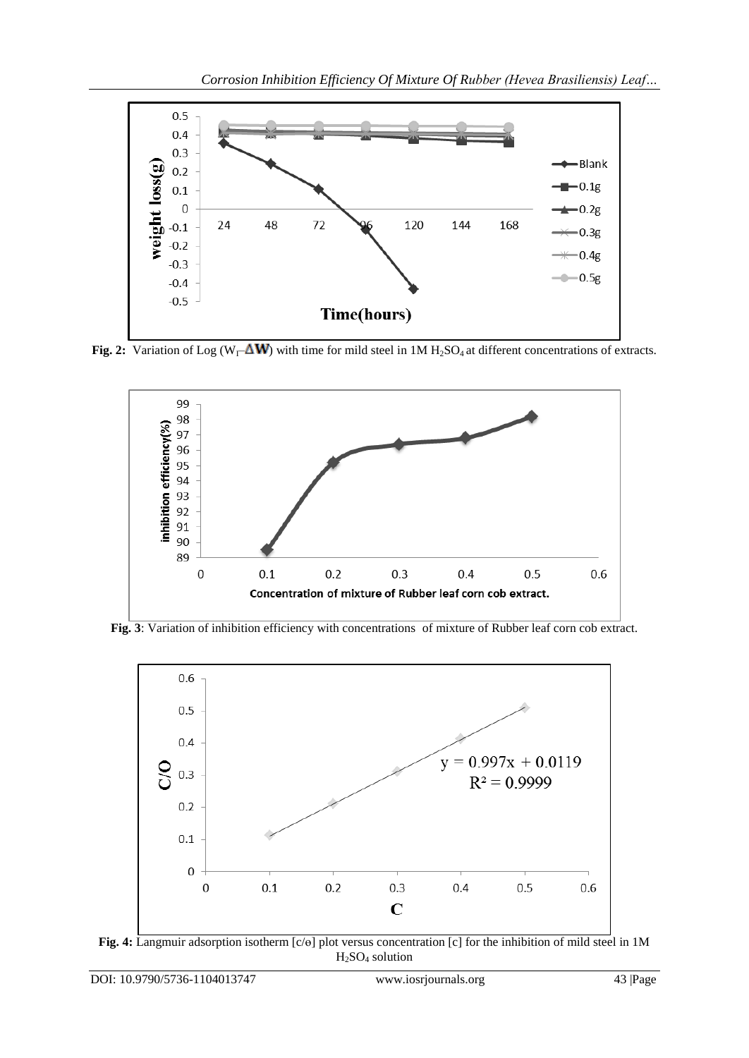

**Fig. 2:** Variation of Log ( $W_1$ – $\Delta W$ ) with time for mild steel in 1M H<sub>2</sub>SO<sub>4</sub> at different concentrations of extracts.



**Fig. 3**: Variation of inhibition efficiency with concentrations of mixture of Rubber leaf corn cob extract.



**Fig. 4:** Langmuir adsorption isotherm [c/ɵ] plot versus concentration [c] for the inhibition of mild steel in 1M  $H<sub>2</sub>SO<sub>4</sub>$  solution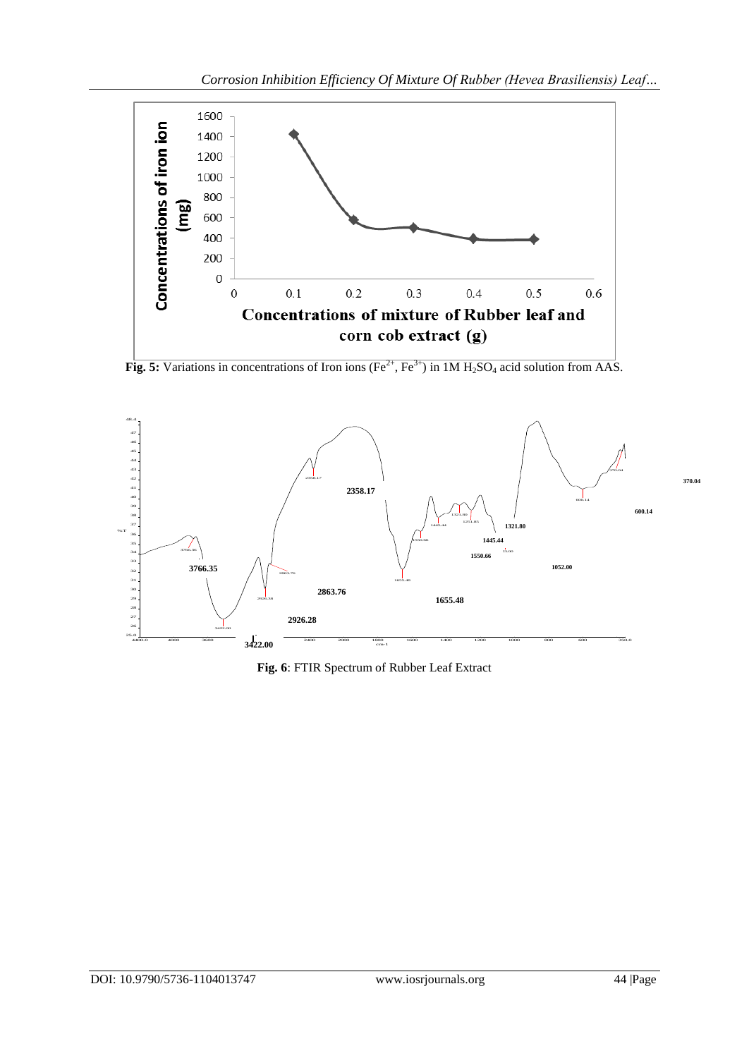

**Fig. 5:** Variations in concentrations of Iron ions (Fe<sup>2+</sup>, Fe<sup>3+</sup>) in 1M H<sub>2</sub>SO<sub>4</sub> acid solution from AAS.



**Fig. 6**: FTIR Spectrum of Rubber Leaf Extract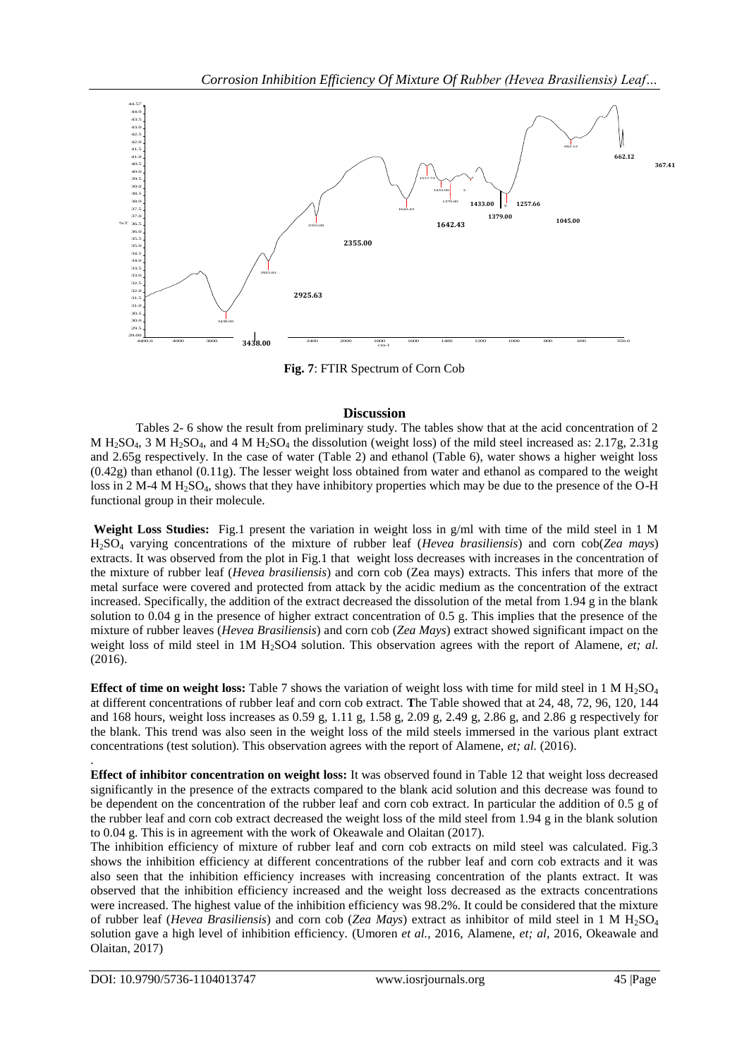

**Fig. 7**: FTIR Spectrum of Corn Cob

## **Discussion**

Tables 2- 6 show the result from preliminary study. The tables show that at the acid concentration of 2 M  $H_2SO_4$ , 3 M  $H_2SO_4$ , and 4 M  $H_2SO_4$  the dissolution (weight loss) of the mild steel increased as: 2.17g, 2.31g and 2.65g respectively. In the case of water (Table 2) and ethanol (Table 6), water shows a higher weight loss (0.42g) than ethanol (0.11g). The lesser weight loss obtained from water and ethanol as compared to the weight loss in 2 M-4 M H<sub>2</sub>SO<sub>4</sub>, shows that they have inhibitory properties which may be due to the presence of the O-H functional group in their molecule.

**Weight Loss Studies:** Fig.1 present the variation in weight loss in g/ml with time of the mild steel in 1 M H2SO<sup>4</sup> varying concentrations of the mixture of rubber leaf (*Hevea brasiliensis*) and corn cob(*Zea mays*) extracts. It was observed from the plot in Fig.1 that weight loss decreases with increases in the concentration of the mixture of rubber leaf (*Hevea brasiliensis*) and corn cob (Zea mays) extracts. This infers that more of the metal surface were covered and protected from attack by the acidic medium as the concentration of the extract increased. Specifically, the addition of the extract decreased the dissolution of the metal from 1.94 g in the blank solution to 0.04 g in the presence of higher extract concentration of 0.5 g. This implies that the presence of the mixture of rubber leaves (*Hevea Brasiliensis*) and corn cob (*Zea Mays*) extract showed significant impact on the weight loss of mild steel in 1M H<sub>2</sub>SO4 solution. This observation agrees with the report of Alamene, *et; al.* (2016).

**Effect of time on weight loss:** Table 7 shows the variation of weight loss with time for mild steel in 1 M H<sub>2</sub>SO<sub>4</sub> at different concentrations of rubber leaf and corn cob extract. **T**he Table showed that at 24, 48, 72, 96, 120, 144 and 168 hours, weight loss increases as 0.59 g, 1.11 g, 1.58 g, 2.09 g, 2.49 g, 2.86 g, and 2.86 g respectively for the blank. This trend was also seen in the weight loss of the mild steels immersed in the various plant extract concentrations (test solution). This observation agrees with the report of Alamene, *et; al.* (2016).

**Effect of inhibitor concentration on weight loss:** It was observed found in Table 12 that weight loss decreased significantly in the presence of the extracts compared to the blank acid solution and this decrease was found to be dependent on the concentration of the rubber leaf and corn cob extract. In particular the addition of 0.5 g of the rubber leaf and corn cob extract decreased the weight loss of the mild steel from 1.94 g in the blank solution to 0.04 g. This is in agreement with the work of Okeawale and Olaitan (2017).

The inhibition efficiency of mixture of rubber leaf and corn cob extracts on mild steel was calculated. Fig.3 shows the inhibition efficiency at different concentrations of the rubber leaf and corn cob extracts and it was also seen that the inhibition efficiency increases with increasing concentration of the plants extract. It was observed that the inhibition efficiency increased and the weight loss decreased as the extracts concentrations were increased. The highest value of the inhibition efficiency was 98.2%. It could be considered that the mixture of rubber leaf (*Hevea Brasiliensis*) and corn cob (*Zea Mays*) extract as inhibitor of mild steel in 1 M H2SO<sup>4</sup> solution gave a high level of inhibition efficiency. (Umoren *et al.,* 2016, Alamene, *et; al,* 2016, Okeawale and Olaitan, 2017)

.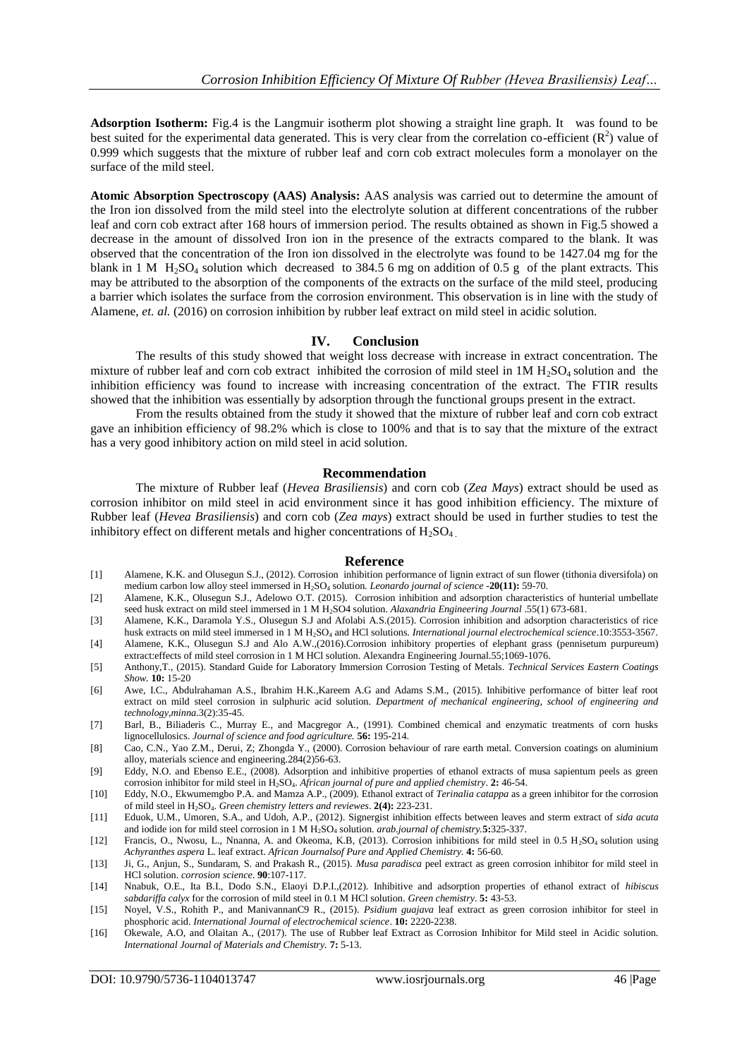**Adsorption Isotherm:** Fig.4 is the Langmuir isotherm plot showing a straight line graph. It was found to be best suited for the experimental data generated. This is very clear from the correlation co-efficient  $(R^2)$  value of 0.999 which suggests that the mixture of rubber leaf and corn cob extract molecules form a monolayer on the surface of the mild steel.

**Atomic Absorption Spectroscopy (AAS) Analysis:** AAS analysis was carried out to determine the amount of the Iron ion dissolved from the mild steel into the electrolyte solution at different concentrations of the rubber leaf and corn cob extract after 168 hours of immersion period. The results obtained as shown in Fig.5 showed a decrease in the amount of dissolved Iron ion in the presence of the extracts compared to the blank. It was observed that the concentration of the Iron ion dissolved in the electrolyte was found to be 1427.04 mg for the blank in 1 M  $H_2$ SO<sub>4</sub> solution which decreased to 384.5 6 mg on addition of 0.5 g of the plant extracts. This may be attributed to the absorption of the components of the extracts on the surface of the mild steel, producing a barrier which isolates the surface from the corrosion environment. This observation is in line with the study of Alamene, *et. al.* (2016) on corrosion inhibition by rubber leaf extract on mild steel in acidic solution.

## **IV. Conclusion**

The results of this study showed that weight loss decrease with increase in extract concentration. The mixture of rubber leaf and corn cob extract inhibited the corrosion of mild steel in  $1M H<sub>2</sub>SO<sub>4</sub>$  solution and the inhibition efficiency was found to increase with increasing concentration of the extract. The FTIR results showed that the inhibition was essentially by adsorption through the functional groups present in the extract.

From the results obtained from the study it showed that the mixture of rubber leaf and corn cob extract gave an inhibition efficiency of 98.2% which is close to 100% and that is to say that the mixture of the extract has a very good inhibitory action on mild steel in acid solution.

#### **Recommendation**

The mixture of Rubber leaf (*Hevea Brasiliensis*) and corn cob (*Zea Mays*) extract should be used as corrosion inhibitor on mild steel in acid environment since it has good inhibition efficiency. The mixture of Rubber leaf (*Hevea Brasiliensis*) and corn cob (*Zea mays*) extract should be used in further studies to test the inhibitory effect on different metals and higher concentrations of  $H_2SO_4$ 

#### **Reference**

- [1] Alamene, K.K. and Olusegun S.J., (2012). Corrosion inhibition performance of lignin extract of sun flower (tithonia diversifola) on medium carbon low alloy steel immersed in H2SO<sup>4</sup> solution*. Leonardo journal of science* -**20(11):** 59-70.
- [2] Alamene, K.K., Olusegun S.J., Adelowo O.T. (2015). Corrosion inhibition and adsorption characteristics of hunterial umbellate seed husk extract on mild steel immersed in 1 M H2SO4 solution. *Alaxandria Engineering Journal* .55(1) 673-681.
- [3] Alamene, K.K., Daramola Y.S., Olusegun S.J and Afolabi A.S.(2015). Corrosion inhibition and adsorption characteristics of rice husk extracts on mild steel immersed in 1 M H<sub>2</sub>SO<sub>4</sub> and HCl solutions. *International journal electrochemical science*.10:3553-3567.
- [4] Alamene, K.K., Olusegun S.J and Alo A.W.,(2016).Corrosion inhibitory properties of elephant grass (pennisetum purpureum) extract:effects of mild steel corrosion in 1 M HCl solution. Alexandra Engineering Journal.55;1069-1076.
- [5] Anthony,T., (2015). Standard Guide for Laboratory Immersion Corrosion Testing of Metals. *Technical Services Eastern Coatings Show.* **10:** 15-20
- [6] Awe, I.C., Abdulrahaman A.S., Ibrahim H.K.,Kareem A.G and Adams S.M., (2015). Inhibitive performance of bitter leaf root extract on mild steel corrosion in sulphuric acid solution. *Department of mechanical engineering, school of engineering and technology,minna.*3(2):35-45.
- [7] Barl, B., Biliaderis C., Murray E., and Macgregor A., (1991). Combined chemical and enzymatic treatments of corn husks lignocellulosics. *Journal of science and food agriculture.* **56:** 195-214.
- [8] Cao, C.N., Yao Z.M., Derui, Z; Zhongda Y., (2000). Corrosion behaviour of rare earth metal. Conversion coatings on aluminium alloy, materials science and engineering.284(2)56-63.
- [9] Eddy, N.O. and Ebenso E.E., (2008). Adsorption and inhibitive properties of ethanol extracts of musa sapientum peels as green corrosion inhibitor for mild steel in H2SO4. *African journal of pure and applied chemistry*. **2:** 46-54.
- [10] Eddy, N.O., Ekwumemgbo P.A. and Mamza A.P., (2009). Ethanol extract of *Terinalia catappa* as a green inhibitor for the corrosion of mild steel in H2SO4. *Green chemistry letters and reviewes*. **2(4):** 223-231.
- [11] Eduok, U.M., Umoren, S.A., and Udoh, A.P., (2012). Signergist inhibition effects between leaves and sterm extract of *sida acuta*  and iodide ion for mild steel corrosion in 1 M H<sub>2</sub>SO<sub>4</sub> solution. *arab.journal of chemistry.***5:**325-337.
- [12] Francis, O., Nwosu, L., Nnanna, A. and Okeoma, K.B, (2013). Corrosion inhibitions for mild steel in 0.5 H<sub>2</sub>SO<sub>4</sub> solution using *Achyranthes aspera* L. leaf extract. *African Journalsof Pure and Applied Chemistry.* **4:** 56-60.
- [13] Ji, G., Anjun, S., Sundaram, S. and Prakash R., (2015). *Musa paradisca* peel extract as green corrosion inhibitor for mild steel in HCl solution. *corrosion science*. **90**:107-117.
- [14] Nnabuk, O.E., Ita B.I., Dodo S.N., Elaoyi D.P.I.,(2012). Inhibitive and adsorption properties of ethanol extract of *hibiscus sabdariffa calyx* for the corrosion of mild steel in 0.1 M HCl solution. *Green chemistry*. **5:** 43-53.
- [15] Noyel, V.S., Rohith P., and ManivannanC9 R., (2015). *Psidium guajava* leaf extract as green corrosion inhibitor for steel in phosphoric acid. *International Journal of electrochemical science*. **10:** 2220-2238.
- [16] Okewale, A.O, and Olaitan A., (2017). The use of Rubber leaf Extract as Corrosion Inhibitor for Mild steel in Acidic solution. *International Journal of Materials and Chemistry.* **7:** 5-13.